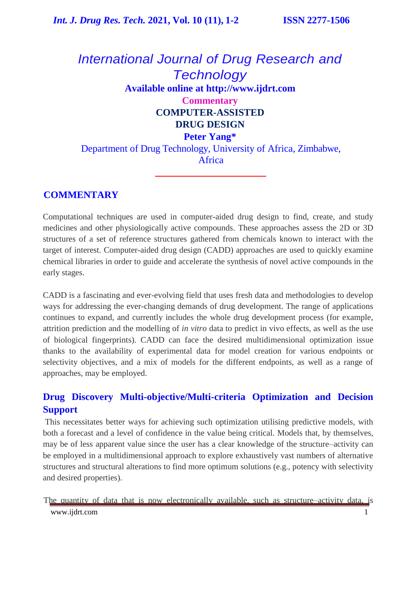# *International Journal of Drug Research and Technology* **Available online at [http://www.ijdrt.com](http://www.ijdrt.com/) Commentary COMPUTER-ASSISTED DRUG DESIGN Peter Yang\*** Department of Drug Technology, University of Africa, Zimbabwe,

Africa

## **COMMENTARY**

Computational techniques are used in computer-aided drug design to find, create, and study medicines and other physiologically active compounds. These approaches assess the 2D or 3D structures of a set of reference structures gathered from chemicals known to interact with the target of interest. Computer-aided drug design (CADD) approaches are used to quickly examine chemical libraries in order to guide and accelerate the synthesis of novel active compounds in the early stages.

CADD is a fascinating and ever-evolving field that uses fresh data and methodologies to develop ways for addressing the ever-changing demands of drug development. The range of applications continues to expand, and currently includes the whole drug development process (for example, attrition prediction and the modelling of *in vitro* data to predict in vivo effects, as well as the use of biological fingerprints). CADD can face the desired multidimensional optimization issue thanks to the availability of experimental data for model creation for various endpoints or selectivity objectives, and a mix of models for the different endpoints, as well as a range of approaches, may be employed.

## **Drug Discovery Multi-objective/Multi-criteria Optimization and Decision Support**

This necessitates better ways for achieving such optimization utilising predictive models, with both a forecast and a level of confidence in the value being critical. Models that, by themselves, may be of less apparent value since the user has a clear knowledge of the structure–activity can be employed in a multidimensional approach to explore exhaustively vast numbers of alternative structures and structural alterations to find more optimum solutions (e.g., potency with selectivity and desired properties).

[www.ijdrt.com](http://www.ijdrt.com/) 1 The quantity of data that is now electronically available, such as structure–activity data, is